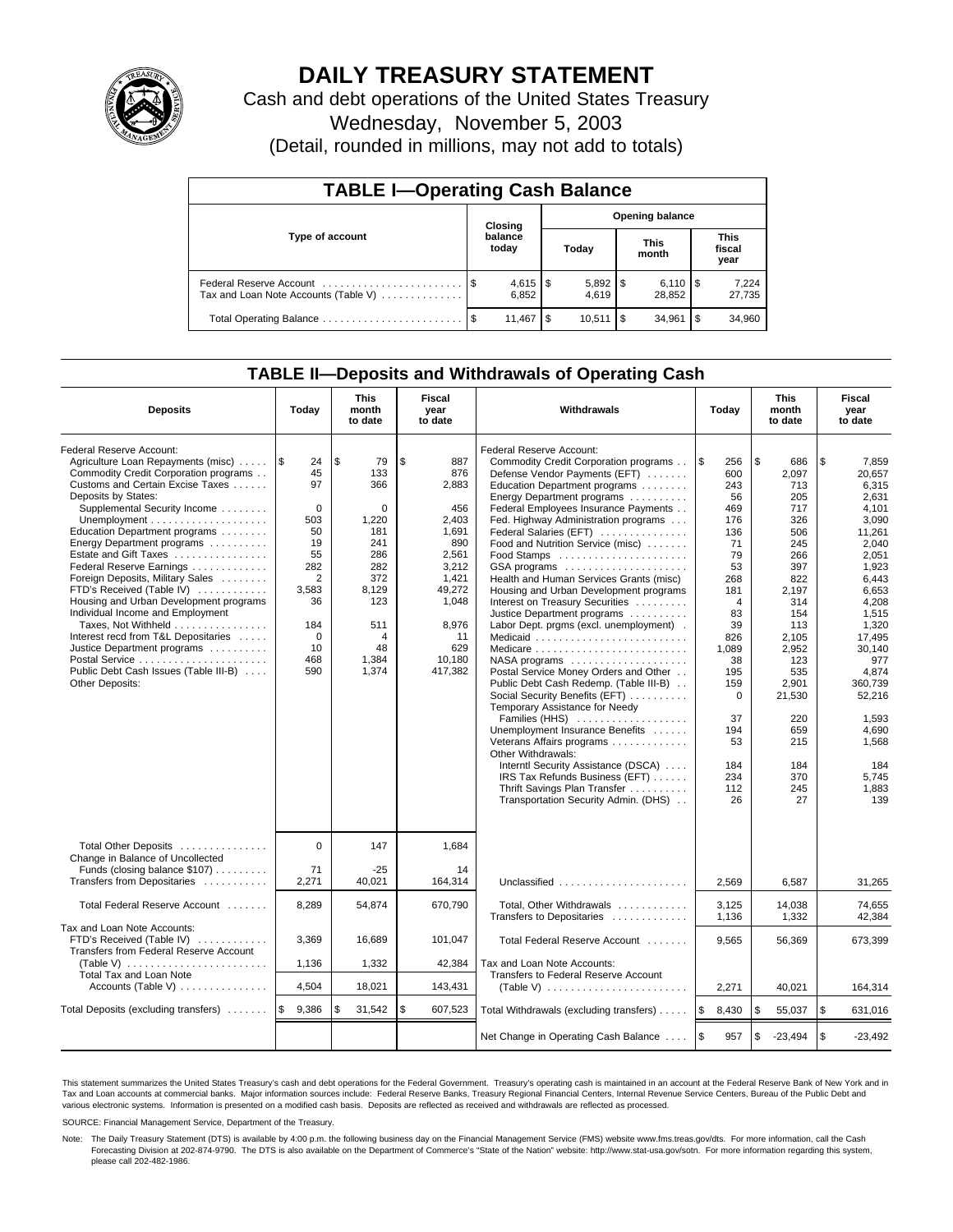

# **DAILY TREASURY STATEMENT**

Cash and debt operations of the United States Treasury

Wednesday, November 5, 2003

(Detail, rounded in millions, may not add to totals)

| <b>TABLE I-Operating Cash Balance</b>                           |         |                  |       |                        |                      |                              |                               |                 |  |  |  |
|-----------------------------------------------------------------|---------|------------------|-------|------------------------|----------------------|------------------------------|-------------------------------|-----------------|--|--|--|
|                                                                 | Closing |                  |       | <b>Opening balance</b> |                      |                              |                               |                 |  |  |  |
| Type of account                                                 |         | balance<br>today | Today |                        | <b>This</b><br>month |                              | <b>This</b><br>fiscal<br>year |                 |  |  |  |
| Federal Reserve Account<br>Tax and Loan Note Accounts (Table V) |         | 6.852            |       | 4.619                  |                      | $6,110$ $\sqrt{5}$<br>28.852 |                               | 7,224<br>27,735 |  |  |  |
| Total Operating Balance                                         | - \$    | 11,467           | - \$  | 10.511                 | 1 S                  | 34.961                       | l \$                          | 34,960          |  |  |  |

## **TABLE II—Deposits and Withdrawals of Operating Cash**

| <b>Deposits</b>                                                                                                                                                                                                                                                                                                                                                                                                                                                                                                                                                                                                                | Today                                                                                                                              | <b>This</b><br>month<br>to date                                                                                             | Fiscal<br>year<br>to date                                                                                                                          | Withdrawals                                                                                                                                                                                                                                                                                                                                                                                                                                                                                                                                                                                                                                                                                                                                                                                                                                                                                                                                                                                    | Today                                                                                                                                                                                                               | <b>This</b><br>month<br>to date                                                                                                                                                                                    | Fiscal<br>year<br>to date                                                                                                                                                                                                                                       |
|--------------------------------------------------------------------------------------------------------------------------------------------------------------------------------------------------------------------------------------------------------------------------------------------------------------------------------------------------------------------------------------------------------------------------------------------------------------------------------------------------------------------------------------------------------------------------------------------------------------------------------|------------------------------------------------------------------------------------------------------------------------------------|-----------------------------------------------------------------------------------------------------------------------------|----------------------------------------------------------------------------------------------------------------------------------------------------|------------------------------------------------------------------------------------------------------------------------------------------------------------------------------------------------------------------------------------------------------------------------------------------------------------------------------------------------------------------------------------------------------------------------------------------------------------------------------------------------------------------------------------------------------------------------------------------------------------------------------------------------------------------------------------------------------------------------------------------------------------------------------------------------------------------------------------------------------------------------------------------------------------------------------------------------------------------------------------------------|---------------------------------------------------------------------------------------------------------------------------------------------------------------------------------------------------------------------|--------------------------------------------------------------------------------------------------------------------------------------------------------------------------------------------------------------------|-----------------------------------------------------------------------------------------------------------------------------------------------------------------------------------------------------------------------------------------------------------------|
| Federal Reserve Account:<br>Agriculture Loan Repayments (misc)<br>Commodity Credit Corporation programs<br>Customs and Certain Excise Taxes<br>Deposits by States:<br>Supplemental Security Income<br>Education Department programs<br>Energy Department programs<br>Estate and Gift Taxes<br>Federal Reserve Earnings<br>Foreign Deposits, Military Sales<br>FTD's Received (Table IV)<br>Housing and Urban Development programs<br>Individual Income and Employment<br>Taxes, Not Withheld<br>Interest recd from T&L Depositaries<br>Justice Department programs<br>Public Debt Cash Issues (Table III-B)<br>Other Deposits: | 1\$<br>24<br>45<br>97<br>$\mathbf 0$<br>503<br>50<br>19<br>55<br>282<br>2<br>3,583<br>36<br>184<br>$\mathbf 0$<br>10<br>468<br>590 | \$<br>79<br>133<br>366<br>0<br>1,220<br>181<br>241<br>286<br>282<br>372<br>8,129<br>123<br>511<br>4<br>48<br>1,384<br>1,374 | \$<br>887<br>876<br>2,883<br>456<br>2.403<br>1,691<br>890<br>2.561<br>3,212<br>1,421<br>49,272<br>1,048<br>8,976<br>11<br>629<br>10,180<br>417,382 | Federal Reserve Account:<br>Commodity Credit Corporation programs<br>Defense Vendor Payments (EFT)<br>Education Department programs<br>Energy Department programs<br>Federal Employees Insurance Payments<br>Fed. Highway Administration programs<br>Federal Salaries (EFT)<br>Food and Nutrition Service (misc)<br>Food Stamps<br>GSA programs<br>Health and Human Services Grants (misc)<br>Housing and Urban Development programs<br>Interest on Treasury Securities<br>Justice Department programs<br>Labor Dept. prgms (excl. unemployment).<br>Medicaid<br>NASA programs<br>Postal Service Money Orders and Other<br>Public Debt Cash Redemp. (Table III-B)<br>Social Security Benefits (EFT)<br>Temporary Assistance for Needy<br>Families (HHS)<br>Unemployment Insurance Benefits<br>Veterans Affairs programs<br>Other Withdrawals:<br>Interntl Security Assistance (DSCA)<br>IRS Tax Refunds Business (EFT)<br>Thrift Savings Plan Transfer<br>Transportation Security Admin. (DHS) | l \$<br>256<br>600<br>243<br>56<br>469<br>176<br>136<br>71<br>79<br>53<br>268<br>181<br>$\overline{4}$<br>83<br>39<br>826<br>1,089<br>38<br>195<br>159<br>$\mathbf 0$<br>37<br>194<br>53<br>184<br>234<br>112<br>26 | \$<br>686<br>2.097<br>713<br>205<br>717<br>326<br>506<br>245<br>266<br>397<br>822<br>2,197<br>314<br>154<br>113<br>2,105<br>2,952<br>123<br>535<br>2.901<br>21,530<br>220<br>659<br>215<br>184<br>370<br>245<br>27 | \$<br>7,859<br>20.657<br>6,315<br>2,631<br>4.101<br>3,090<br>11.261<br>2.040<br>2.051<br>1,923<br>6,443<br>6,653<br>4,208<br>1,515<br>1.320<br>17.495<br>30,140<br>977<br>4.874<br>360.739<br>52,216<br>1,593<br>4,690<br>1,568<br>184<br>5,745<br>1,883<br>139 |
| Total Other Deposits<br>Change in Balance of Uncollected<br>Funds (closing balance $$107$ )<br>Transfers from Depositaries                                                                                                                                                                                                                                                                                                                                                                                                                                                                                                     | $\Omega$<br>71<br>2,271                                                                                                            | 147<br>$-25$<br>40,021                                                                                                      | 1.684<br>14<br>164,314                                                                                                                             | Unclassified                                                                                                                                                                                                                                                                                                                                                                                                                                                                                                                                                                                                                                                                                                                                                                                                                                                                                                                                                                                   | 2,569                                                                                                                                                                                                               | 6,587                                                                                                                                                                                                              | 31,265                                                                                                                                                                                                                                                          |
| Total Federal Reserve Account                                                                                                                                                                                                                                                                                                                                                                                                                                                                                                                                                                                                  | 8,289                                                                                                                              | 54,874                                                                                                                      | 670,790                                                                                                                                            | Total, Other Withdrawals<br>Transfers to Depositaries                                                                                                                                                                                                                                                                                                                                                                                                                                                                                                                                                                                                                                                                                                                                                                                                                                                                                                                                          | 3,125<br>1.136                                                                                                                                                                                                      | 14,038<br>1,332                                                                                                                                                                                                    | 74.655<br>42.384                                                                                                                                                                                                                                                |
| Tax and Loan Note Accounts:<br>FTD's Received (Table IV)<br>Transfers from Federal Reserve Account<br>(Table V) $\ldots \ldots \ldots \ldots \ldots \ldots$<br>Total Tax and Loan Note<br>Accounts (Table V)                                                                                                                                                                                                                                                                                                                                                                                                                   | 3,369<br>1,136<br>4,504                                                                                                            | 16,689<br>1,332<br>18,021                                                                                                   | 101,047<br>42,384<br>143,431                                                                                                                       | Total Federal Reserve Account<br>Tax and Loan Note Accounts:<br>Transfers to Federal Reserve Account<br>(Table V) $\ldots \ldots \ldots \ldots \ldots \ldots \ldots$                                                                                                                                                                                                                                                                                                                                                                                                                                                                                                                                                                                                                                                                                                                                                                                                                           | 9,565<br>2,271                                                                                                                                                                                                      | 56,369<br>40.021                                                                                                                                                                                                   | 673,399<br>164,314                                                                                                                                                                                                                                              |
| Total Deposits (excluding transfers)                                                                                                                                                                                                                                                                                                                                                                                                                                                                                                                                                                                           | l \$<br>9,386                                                                                                                      | \$<br>31,542                                                                                                                | \$<br>607,523                                                                                                                                      | Total Withdrawals (excluding transfers)                                                                                                                                                                                                                                                                                                                                                                                                                                                                                                                                                                                                                                                                                                                                                                                                                                                                                                                                                        | ۱\$<br>8,430                                                                                                                                                                                                        | \$<br>55,037                                                                                                                                                                                                       | \$<br>631,016                                                                                                                                                                                                                                                   |
|                                                                                                                                                                                                                                                                                                                                                                                                                                                                                                                                                                                                                                |                                                                                                                                    |                                                                                                                             |                                                                                                                                                    | Net Change in Operating Cash Balance                                                                                                                                                                                                                                                                                                                                                                                                                                                                                                                                                                                                                                                                                                                                                                                                                                                                                                                                                           | l \$<br>957                                                                                                                                                                                                         | \$<br>$-23,494$                                                                                                                                                                                                    | \$<br>$-23,492$                                                                                                                                                                                                                                                 |

This statement summarizes the United States Treasury's cash and debt operations for the Federal Government. Treasury's operating cash is maintained in an account at the Federal Reserve Bank of New York and in Tax and Loan accounts at commercial banks. Major information sources include: Federal Reserve Banks, Treasury Regional Financial Centers, Internal Revenue Service Centers, Bureau of the Public Debt and<br>various electronic s

SOURCE: Financial Management Service, Department of the Treasury.

Note: The Daily Treasury Statement (DTS) is available by 4:00 p.m. the following business day on the Financial Management Service (FMS) website www.fms.treas.gov/dts. For more information, call the Cash Forecasting Division at 202-874-9790. The DTS is also available on the Department of Commerce's "State of the Nation" website: http://www.stat-usa.gov/sotn. For more information regarding this system, please call 202-482-1986.